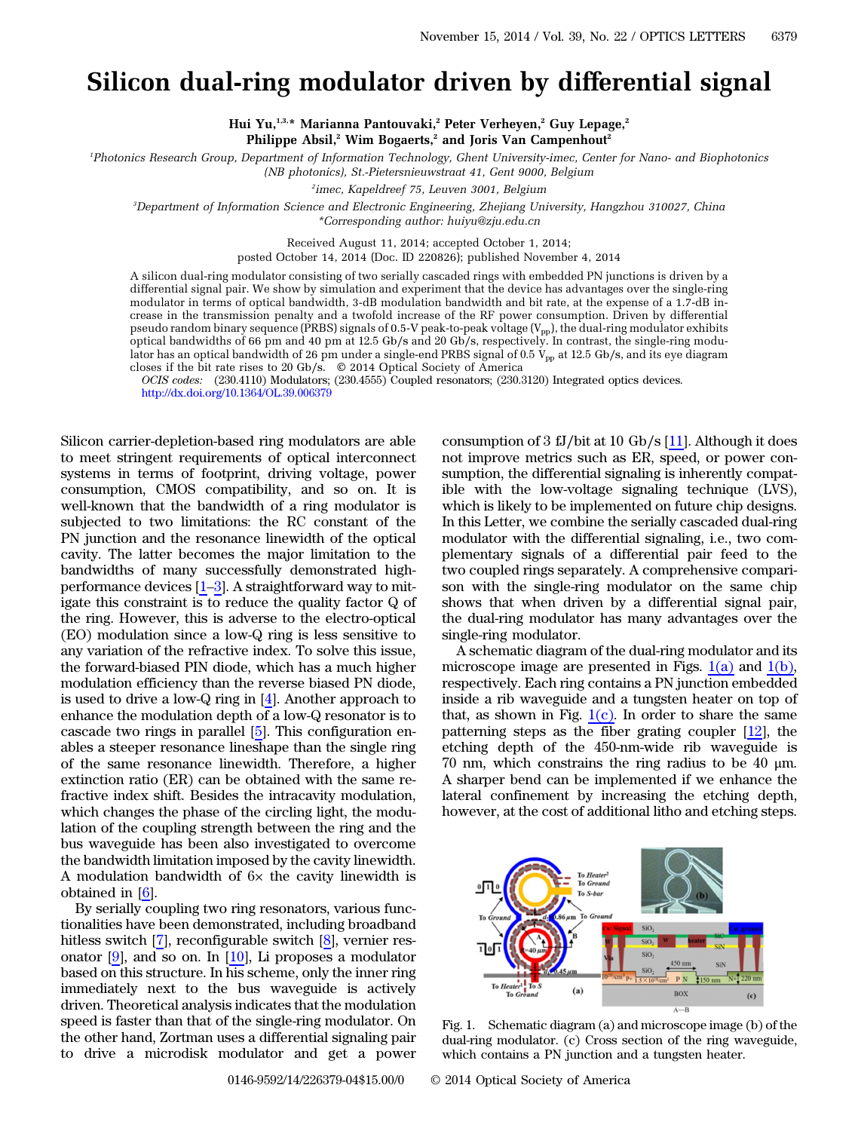## Silicon dual-ring modulator driven by differential signal

Hui Yu,<sup>1,3,\*</sup> Marianna Pantouvaki,<sup>2</sup> Peter Verheyen,<sup>2</sup> Guy Lepage,<sup>2</sup> Philippe Absil,<sup>2</sup> Wim Bogaerts,<sup>2</sup> and Joris Van Campenhout<sup>2</sup>

1 Photonics Research Group, Department of Information Technology, Ghent University-imec, Center for Nano- and Biophotonics

(NB photonics), St.-Pietersnieuwstraat 41, Gent 9000, Belgium

2 imec, Kapeldreef 75, Leuven 3001, Belgium

3 Department of Information Science and Electronic Engineering, Zhejiang University, Hangzhou 310027, China \*Corresponding author: huiyu@zju.edu.cn

Received August 11, 2014; accepted October 1, 2014;

posted October 14, 2014 (Doc. ID 220826); published November 4, 2014

A silicon dual-ring modulator consisting of two serially cascaded rings with embedded PN junctions is driven by a differential signal pair. We show by simulation and experiment that the device has advantages over the single-ring modulator in terms of optical bandwidth, 3-dB modulation bandwidth and bit rate, at the expense of a 1.7-dB increase in the transmission penalty and a twofold increase of the RF power consumption. Driven by differential pseudo random binary sequence (PRBS) signals of 0.5-V peak-to-peak voltage ( $V_{pp}$ ), the dual-ring modulator exhibits optical bandwidths of 66 pm and 40 pm at 12.5 Gb∕s and 20 Gb∕s, respectively. In contrast, the single-ring modulator has an optical bandwidth of 26 pm under a single-end PRBS signal of 0.5  $V_{pp}$  at 12.5 Gb/s, and its eye diagram closes if the bit rate rises to 20 Gb∕s. © 2014 Optical Society of America

OCIS codes: (230.4110) Modulators; (230.4555) Coupled resonators; (230.3120) Integrated optics devices.

<http://dx.doi.org/10.1364/OL.39.006379>

Silicon carrier-depletion-based ring modulators are able to meet stringent requirements of optical interconnect systems in terms of footprint, driving voltage, power consumption, CMOS compatibility, and so on. It is well-known that the bandwidth of a ring modulator is subjected to two limitations: the RC constant of the PN junction and the resonance linewidth of the optical cavity. The latter becomes the major limitation to the bandwidths of many successfully demonstrated highperformance devices [\[1](#page-3-0)–[3](#page-3-1)]. A straightforward way to mitigate this constraint is to reduce the quality factor Q of the ring. However, this is adverse to the electro-optical (EO) modulation since a low-Q ring is less sensitive to any variation of the refractive index. To solve this issue, the forward-biased PIN diode, which has a much higher modulation efficiency than the reverse biased PN diode, is used to drive a low-Q ring in [\[4](#page-3-2)]. Another approach to enhance the modulation depth of a low-Q resonator is to cascade two rings in parallel [\[5](#page-3-3)]. This configuration enables a steeper resonance lineshape than the single ring of the same resonance linewidth. Therefore, a higher extinction ratio (ER) can be obtained with the same refractive index shift. Besides the intracavity modulation, which changes the phase of the circling light, the modulation of the coupling strength between the ring and the bus waveguide has been also investigated to overcome the bandwidth limitation imposed by the cavity linewidth. A modulation bandwidth of  $6\times$  the cavity linewidth is obtained in [[6\]](#page-3-4).

By serially coupling two ring resonators, various functionalities have been demonstrated, including broadband hitless switch [\[7](#page-3-5)], reconfigurable switch [[8\]](#page-3-6), vernier resonator  $[9]$  $[9]$ , and so on. In  $[10]$  $[10]$  $[10]$ , Li proposes a modulator based on this structure. In his scheme, only the inner ring immediately next to the bus waveguide is actively driven. Theoretical analysis indicates that the modulation speed is faster than that of the single-ring modulator. On the other hand, Zortman uses a differential signaling pair to drive a microdisk modulator and get a power

0146-9592/14/226379-04\$15.00/0 © 2014 Optical Society of America

consumption of 3 fJ∕bit at 10 Gb∕s [\[11](#page-3-9)]. Although it does not improve metrics such as ER, speed, or power consumption, the differential signaling is inherently compatible with the low-voltage signaling technique (LVS), which is likely to be implemented on future chip designs. In this Letter, we combine the serially cascaded dual-ring modulator with the differential signaling, i.e., two complementary signals of a differential pair feed to the two coupled rings separately. A comprehensive comparison with the single-ring modulator on the same chip shows that when driven by a differential signal pair, the dual-ring modulator has many advantages over the single-ring modulator.

A schematic diagram of the dual-ring modulator and its microscope image are presented in Figs.  $1(a)$  and  $1(b)$ , respectively. Each ring contains a PN junction embedded inside a rib waveguide and a tungsten heater on top of that, as shown in Fig.  $1(c)$ . In order to share the same patterning steps as the fiber grating coupler [[12\]](#page-3-10), the etching depth of the 450-nm-wide rib waveguide is 70 nm, which constrains the ring radius to be 40 μm. A sharper bend can be implemented if we enhance the lateral confinement by increasing the etching depth, however, at the cost of additional litho and etching steps.

<span id="page-0-0"></span>

Fig. 1. Schematic diagram (a) and microscope image (b) of the dual-ring modulator. (c) Cross section of the ring waveguide, which contains a PN junction and a tungsten heater.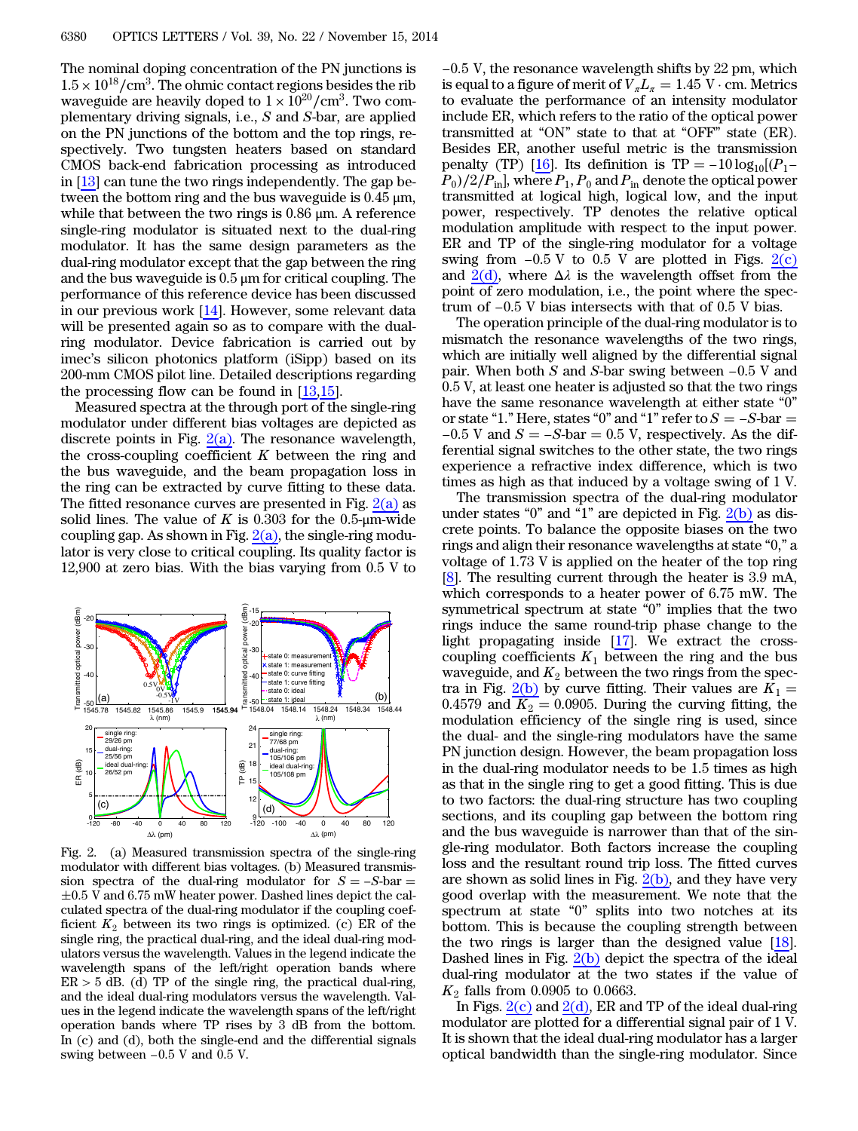The nominal doping concentration of the PN junctions is  $1.5 \times 10^{18}/\text{cm}^3$ . The ohmic contact regions besides the rib waveguide are heavily doped to  $1 \times 10^{20}$ /cm<sup>3</sup>. Two complementary driving signals, i.e., S and S-bar, are applied on the PN junctions of the bottom and the top rings, respectively. Two tungsten heaters based on standard CMOS back-end fabrication processing as introduced in [\[13](#page-3-11)] can tune the two rings independently. The gap between the bottom ring and the bus waveguide is 0.45 μm, while that between the two rings is 0.86 μm. A reference single-ring modulator is situated next to the dual-ring modulator. It has the same design parameters as the dual-ring modulator except that the gap between the ring and the bus waveguide is 0.5 μm for critical coupling. The performance of this reference device has been discussed in our previous work [[14\]](#page-3-12). However, some relevant data will be presented again so as to compare with the dualring modulator. Device fabrication is carried out by imec's silicon photonics platform (iSipp) based on its 200-mm CMOS pilot line. Detailed descriptions regarding the processing flow can be found in [\[13](#page-3-11),[15\]](#page-3-13).

Measured spectra at the through port of the single-ring modulator under different bias voltages are depicted as discrete points in Fig.  $2(a)$ . The resonance wavelength, the cross-coupling coefficient  $K$  between the ring and the bus waveguide, and the beam propagation loss in the ring can be extracted by curve fitting to these data. The fitted resonance curves are presented in Fig.  $2(a)$  as solid lines. The value of K is 0.303 for the 0.5- $\mu$ m-wide coupling gap. As shown in Fig.  $2(a)$ , the single-ring modulator is very close to critical coupling. Its quality factor is 12,900 at zero bias. With the bias varying from 0.5 V to

<span id="page-1-0"></span>

Fig. 2. (a) Measured transmission spectra of the single-ring modulator with different bias voltages. (b) Measured transmis-Fig. 2. (a) Measured transmission spectra of the single-ring modulator with different bias voltages. (b) Measured transmission spectra of the dual-ring modulator for  $S = -S$ -bar =  $\pm 0.5$  V and 6.75 mW heater power. Dashed lines depict the calculated spectra of the dual-ring modulator if the coupling coefficient  $K_2$  between its two rings is optimized. (c) ER of the single ring, the practical dual-ring, and the ideal dual-ring modulators versus the wavelength. Values in the legend indicate the wavelength spans of the left/right operation bands where  $ER > 5$  dB. (d) TP of the single ring, the practical dual-ring, and the ideal dual-ring modulators versus the wavelength. Values in the legend indicate the wavelength spans of the left/right operation bands where TP rises by 3 dB from the bottom.<br>In (c) and (d), both the single-end and the differential signals swing between −0.5 V and 0.5 V. operation bands where TP rises by 3 dB from the bottom. In (c) and (d), both the single-end and the differential signals

 $-0.5$  V, the resonance wavelength shifts by 22 pm, which is equal to a figure of merit of  $V_{\pi}L_{\pi} = 1.45 \text{ V} \cdot \text{cm}$ . Metrics to evaluate the performance of an intensity modulator to evaluate the performance of an intensity modulator<br>include ER, which refers to the ratio of the optical power<br>transmitted at "ON" state to that at "OFF" state (ER). Besides ER, another useful metric is the transmission performance of an intensity inoduation<br>include ER, which refers to the ratio of the optical power<br>transmitted at "ON" state to that at "OFF" state (ER).<br>Besides ER, another useful metric is the transmission<br>penalty (TP) [  $P_0$ /2/ $P_{\text{in}}$ , where  $P_1$ ,  $P_0$  and  $P_{\text{in}}$  denote the optical power transmitted at logical high, logical low, and the input power, respectively. TP denotes the relative optical modulation amplitude with respect to the input power.<br>ER and TP of the single-ring modulator for a voltage swing from  $-0.5$  V to 0.5 V are plotted in Figs.  $2(c)$ modulation amplitude with respect to the input power. ER and TP of the single-ring modulator for a voltage and  $2(d)$ , where  $\Delta \lambda$  is the wavelength offset from the point of zero modulation, i.e., the point where the specthe did 11 of the single-ring modulator for a volda<br>swing from −0.5 V to 0.5 V are plotted in Figs. 2(<br>and 2(d), where Δ $\lambda$  is the wavelength offset from t<br>point of zero modulation, i.e., the point where the spe<br>trum o

The operation principle of the dual-ring modulator is to mismatch the resonance wavelengths of the two rings, which are initially well aligned by the differential signal The operation principle of the dual-ring modulator is to mismatch the resonance wavelengths of the two rings, which are initially well aligned by the differential signal pair. When both S and S-bar swing between  $-0.5$  V pair. when both 5 and 5-bar swing between −0.5 v and<br>0.5 V, at least one heater is adjusted so that the two rings<br>have the same resonance wavelength at either state "0" pair. When both *S* and *S*-bar swing between  $-0.5$  V and 0.5 V, at least one heater is adjusted so that the two rings have the same resonance wavelength at either state "0" or state "1." Here, states "0" and "1" refer t  $-0.5$  V and  $S = -S$ -bar  $= 0.5$  V, respectively. As the differential signal switches to the other state, the two rings experience a refractive index difference, which is two times as high as that induced by a voltage swing of 1 V.

The transmission spectra of the dual-ring modulator under states "0" and "1" are depicted in Fig.  $2(b)$  as disunder states  $\theta$  and  $\theta$  are depicted in Fig. 2(b) as discrete points. To balance the opposite biases on the two<br>rings and align their resonance wavelengths at state "0," a voltage of 1.73 V is applied on the heater of the top ring [\[8](#page-3-6)]. The resulting current through the heater is 3.9 mA,  $[8]$ . The resulting current through the heater is 3.9 mA, which corresponds to a heater power of 6.75 mW. The symmetrical spectrum at state "0" implies that the two rings induce the same round-trip phase change to the light propagating inside [[17\]](#page-3-15). We extract the crosscoupling coefficients  $K_1$  between the ring and the bus waveguide, and  $K_2$  between the two rings from the spectra in Fig.  $2(b)$  by curve fitting. Their values are  $K_1 =$ 0.4579 and  $\overline{K_2}$  = 0.0905. During the curving fitting, the modulation efficiency of the single ring is used, since the dual- and the single-ring modulators have the same PN junction design. However, the beam propagation loss in the dual-ring modulator needs to be 1.5 times as high as that in the single ring to get a good fitting. This is due to two factors: the dual-ring structure has two coupling sections, and its coupling gap between the bottom ring and the bus waveguide is narrower than that of the single-ring modulator. Both factors increase the coupling loss and the resultant round trip loss. The fitted curves are shown as solid lines in Fig.  $2(b)$ , and they have very good overlap with the measurement. We note that the spectrum at state "0" splits into two notches at its bottom. This is because the coupling strength between the two rings is larger than the designed value  $[18]$  $[18]$ . Dashed lines in Fig.  $2(b)$  depict the spectra of the ideal dual-ring modulator at the two states if the value of  $K_2$  falls from 0.0905 to 0.0663.

In Figs.  $2(c)$  and  $2(d)$ , ER and TP of the ideal dual-ring modulator are plotted for a differential signal pair of 1 V. It is shown that the ideal dual-ring modulator has a larger optical bandwidth than the single-ring modulator. Since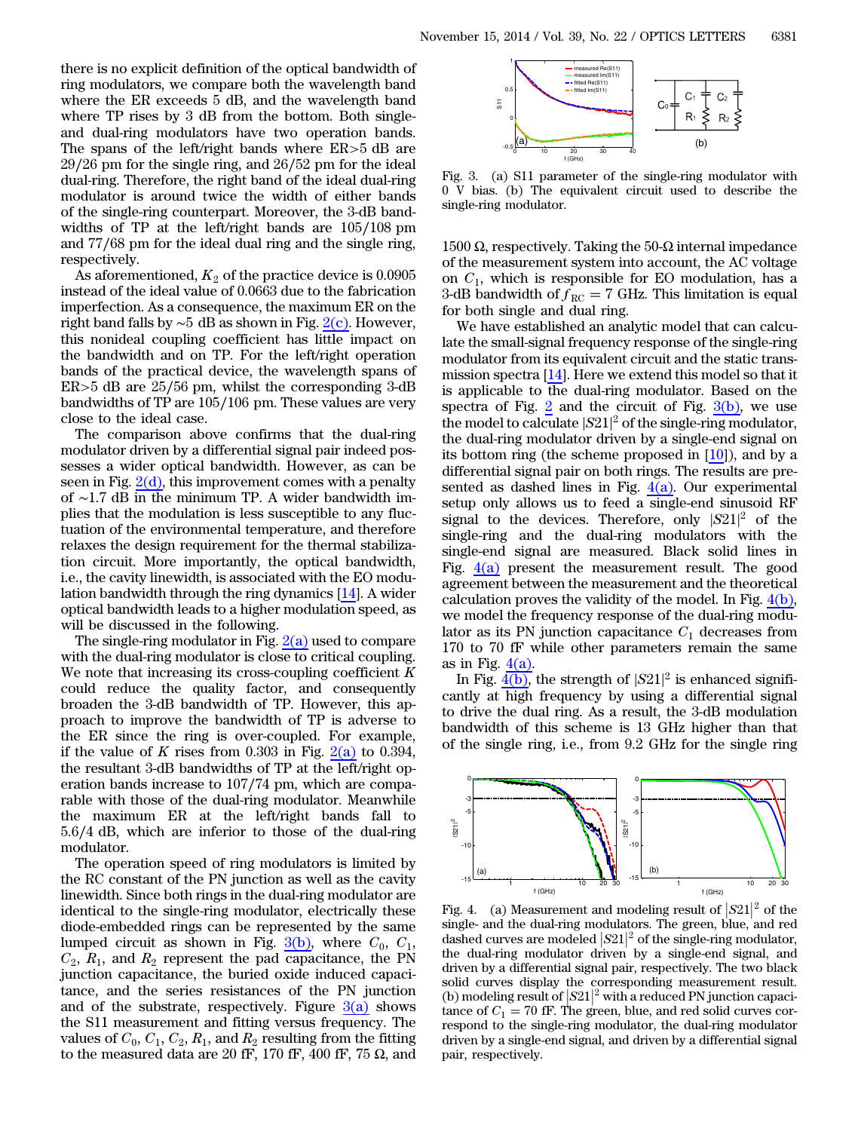there is no explicit definition of the optical bandwidth of ring modulators, we compare both the wavelength band where the ER exceeds 5 dB, and the wavelength band where TP rises by 3 dB from the bottom. Both singleand dual-ring modulators have two operation bands. The spans of the left/right bands where ER>5 dB are 29∕26 pm for the single ring, and 26∕52 pm for the ideal dual-ring. Therefore, the right band of the ideal dual-ring modulator is around twice the width of either bands of the single-ring counterpart. Moreover, the 3-dB bandwidths of TP at the left/right bands are 105∕108 pm and 77∕68 pm for the ideal dual ring and the single ring, respectively.

As aforementioned,  $K_2$  of the practice device is 0.0905 instead of the ideal value of 0.0663 due to the fabrication imperfection. As a consequence, the maximum ER on the right band falls by  $~5$  dB as shown in Fig. [2\(c\)](#page-1-0). However, this nonideal coupling coefficient has little impact on the bandwidth and on TP. For the left/right operation bands of the practical device, the wavelength spans of ER>5 dB are 25∕56 pm, whilst the corresponding 3-dB bandwidths of TP are 105∕106 pm. These values are very close to the ideal case.

The comparison above confirms that the dual-ring modulator driven by a differential signal pair indeed possesses a wider optical bandwidth. However, as can be seen in Fig.  $2(d)$ , this improvement comes with a penalty of ∼1.7 dB in the minimum TP. A wider bandwidth implies that the modulation is less susceptible to any fluctuation of the environmental temperature, and therefore relaxes the design requirement for the thermal stabilization circuit. More importantly, the optical bandwidth, i.e., the cavity linewidth, is associated with the EO modulation bandwidth through the ring dynamics [\[14](#page-3-12)]. A wider optical bandwidth leads to a higher modulation speed, as will be discussed in the following.

The single-ring modulator in Fig.  $2(a)$  used to compare with the dual-ring modulator is close to critical coupling. We note that increasing its cross-coupling coefficient  $K$ could reduce the quality factor, and consequently broaden the 3-dB bandwidth of TP. However, this approach to improve the bandwidth of TP is adverse to the ER since the ring is over-coupled. For example, if the value of K rises from 0.303 in Fig.  $2(a)$  to 0.394, the resultant 3-dB bandwidths of TP at the left/right operation bands increase to 107∕74 pm, which are comparable with those of the dual-ring modulator. Meanwhile the maximum ER at the left/right bands fall to 5.6∕4 dB, which are inferior to those of the dual-ring modulator.

The operation speed of ring modulators is limited by the RC constant of the PN junction as well as the cavity linewidth. Since both rings in the dual-ring modulator are identical to the single-ring modulator, electrically these diode-embedded rings can be represented by the same lumped circuit as shown in Fig.  $3(b)$ , where  $C_0$ ,  $C_1$ ,  $C_2$ ,  $R_1$ , and  $R_2$  represent the pad capacitance, the PN junction capacitance, the buried oxide induced capacitance, and the series resistances of the PN junction and of the substrate, respectively. Figure  $3(a)$  shows the S11 measurement and fitting versus frequency. The values of  $C_0$ ,  $C_1$ ,  $C_2$ ,  $R_1$ , and  $R_2$  resulting from the fitting to the measured data are 20 fF, 170 fF, 400 fF, 75  $Ω$ , and

<span id="page-2-0"></span>

Fig. 3. (a) S11 parameter of the single-ring modulator with 0 V bias. (b) The equivalent circuit used to describe the single-ring modulator.

1500 Ω, respectively. Taking the 50-Ω internal impedance of the measurement system into account, the AC voltage on  $C_1$ , which is responsible for EO modulation, has a 3-dB bandwidth of  $f_{\text{RC}} = 7$  GHz. This limitation is equal for both single and dual ring.

We have established an analytic model that can calculate the small-signal frequency response of the single-ring modulator from its equivalent circuit and the static transmission spectra [\[14](#page-3-12)]. Here we extend this model so that it is applicable to the dual-ring modulator. Based on the spectra of Fig.  $2$  and the circuit of Fig.  $3(b)$ , we use the model to calculate  $|S21|^2$  of the single-ring modulator, the dual-ring modulator driven by a single-end signal on its bottom ring (the scheme proposed in [[10\]](#page-3-8)), and by a differential signal pair on both rings. The results are presented as dashed lines in Fig.  $4(a)$ . Our experimental setup only allows us to feed a single-end sinusoid RF signal to the devices. Therefore, only  $|S21|^2$  of the single-ring and the dual-ring modulators with the single-end signal are measured. Black solid lines in Fig.  $4(a)$  present the measurement result. The good agreement between the measurement and the theoretical calculation proves the validity of the model. In Fig. [4\(b\),](#page-2-1) we model the frequency response of the dual-ring modulator as its PN junction capacitance  $C_1$  decreases from 170 to 70 fF while other parameters remain the same as in Fig.  $4(a)$ .

In Fig.  $\frac{4(b)}{2}$ , the strength of  $|S21|^2$  is enhanced significantly at high frequency by using a differential signal to drive the dual ring. As a result, the 3-dB modulation bandwidth of this scheme is 13 GHz higher than that of the single ring, i.e., from 9.2 GHz for the single ring

<span id="page-2-1"></span>

Fig. 4. (a) Measurement and modeling result of  $|S21|^2$  of the single- and the dual-ring modulators. The green, blue, and red dashed curves are modeled  $|S21|^2$  of the single-ring modulator, the dual-ring modulator driven by a single-end signal, and driven by a differential signal pair, respectively. The two black solid curves display the corresponding measurement result. (b) modeling result of  $|S21|^2$  with a reduced PN junction capacitance of  $C_1 = 70$  fF. The green, blue, and red solid curves correspond to the single-ring modulator, the dual-ring modulator driven by a single-end signal, and driven by a differential signal pair, respectively.